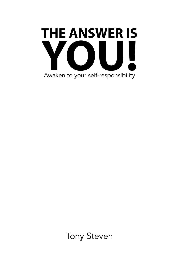

Tony Steven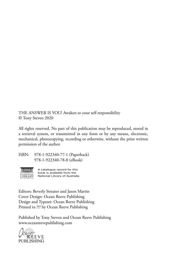THE ANSWER IS YOU! Awaken to your self-responsibility © Tony Steven 2020

All rights reserved. No part of this publication may be reproduced, stored in a retrieval system, or transmitted in any form or by any means, electronic, mechanical, photocopying, recording or otherwise, without the prior written permission of the author.

ISBN: 978-1-922340-77-1 (Paperback) 978-1-922340-78-8 (eBook)



A catalogue record for this book is available from the National Library of Australia

Editors: Beverly Streater and Jason Martin Cover Design: Ocean Reeve Publishing Design and Typeset: Ocean Reeve Publishing Printed in ??? by Ocean Reeve Publishing

Published by Tony Steven and Ocean Reeve Publishing www.oceanreevepublishing.com

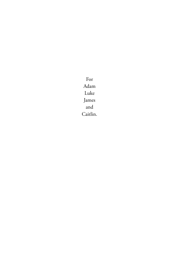For Adam Luke James and Caitlin.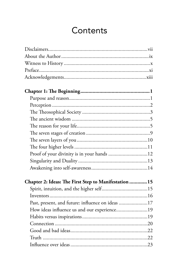# Contents

| Proof of your divinity is in your hands 12            |  |
|-------------------------------------------------------|--|
|                                                       |  |
|                                                       |  |
| Chapter 2: Ideas: The First Step to Manifestation  15 |  |
|                                                       |  |
|                                                       |  |
| Past, present, and future: influence on ideas 17      |  |
| How ideas influence us and our experience19           |  |
|                                                       |  |
|                                                       |  |
|                                                       |  |
|                                                       |  |
|                                                       |  |
|                                                       |  |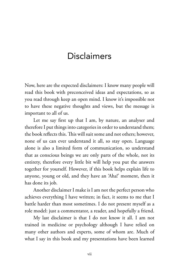## **Disclaimers**

Now, here are the expected disclaimers: I know many people will read this book with preconceived ideas and expectations, so as you read through keep an open mind. I know it's impossible not to have these negative thoughts and views, but the message is important to all of us.

Let me say first up that I am, by nature, an analyser and therefore I put things into categories in order to understand them; the book reflects this. This will suit some and not others; however, none of us can ever understand it all, so stay open. Language alone is also a limited form of communication, so understand that as conscious beings we are only parts of the whole, not its entirety, therefore every little bit will help you put the answers together for yourself. However, if this book helps explain life to anyone, young or old, and they have an 'Aha!' moment, then it has done its job.

Another disclaimer I make is I am not the perfect person who achieves everything I have written; in fact, it seems to me that I battle harder than most sometimes. I do not present myself as a role model: just a commentator, a reader, and hopefully a friend.

My last disclaimer is that I do not know it all. I am not trained in medicine or psychology although I have relied on many other authors and experts, some of whom are. Much of what I say in this book and my presentations have been learned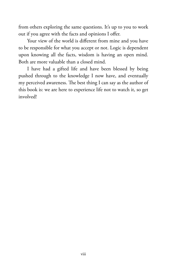from others exploring the same questions. It's up to you to work out if you agree with the facts and opinions I offer.

Your view of the world is different from mine and you have to be responsible for what you accept or not. Logic is dependent upon knowing all the facts, wisdom is having an open mind. Both are more valuable than a closed mind.

I have had a gifted life and have been blessed by being pushed through to the knowledge I now have, and eventually my perceived awareness. The best thing I can say as the author of this book is: we are here to experience life not to watch it, so get involved!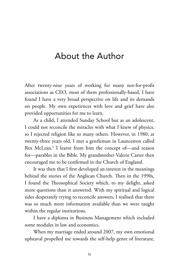## About the Author

After twenty-nine years of working for many not-for-profit associations as CEO, most of them professionally-based, I have found I have a very broad perspective on life and its demands on people. My own experiences with love and grief have also provided opportunities for me to learn.

As a child, I attended Sunday School but as an adolescent, I could not reconcile the miracles with what I knew of physics, so I rejected religion like so many others. However, in 1980, at twenty-three years old, I met a gentleman in Launceston called Rex McLean.1 I learnt from him the concept of—and reason for—parables in the Bible. My grandmother Valerie Carter then encouraged me to be confirmed in the Church of England.

It was then that I first developed an interest in the meanings behind the stories of the Anglican Church. Then in the 1990s, I found the Theosophical Society which, to my delight, asked more questions than it answered. With my spiritual and logical sides desperately trying to reconcile answers, I realised that there was so much more information available than we were taught within the regular institutions.

I have a diploma in Business Management which included some modules in law and economics.

When my marriage ended around 2007, my own emotional upheaval propelled me towards the self-help genre of literature,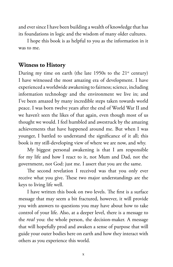and ever since I have been building a wealth of knowledge that has its foundations in logic and the wisdom of many older cultures.

I hope this book is as helpful to you as the information in it was to me.

### **Witness to History**

During my time on earth (the late  $1950s$  to the  $21<sup>st</sup>$  century) I have witnessed the most amazing era of development. I have experienced a worldwide awakening to fairness; science, including information technology and the environment we live in; and I've been amazed by many incredible steps taken towards world peace. I was born twelve years after the end of World War II and we haven't seen the likes of that again, even though most of us thought we would. I feel humbled and awestruck by the amazing achievements that have happened around me. But when I was younger, I battled to understand the significance of it all; this book is my still-developing view of where we are now, and why.

My biggest personal awakening is that I am responsible for my life and how I react to it, not Mum and Dad, not the government, not God: just me. I assert that you are the same.

The second revelation I received was that you only ever receive what you give. These two major understandings are the keys to living life well.

I have written this book on two levels. The first is a surface message that may seem a bit fractured, however, it will provide you with answers to questions you may have about how to take control of your life. Also, at a deeper level, there is a message to the *real* you: the whole person, the decision-maker. A message that will hopefully prod and awaken a sense of purpose that will guide your outer bodies here on earth and how they interact with others as you experience this world.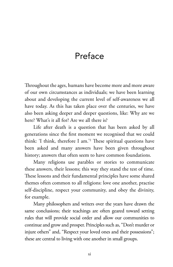# Preface

Throughout the ages, humans have become more and more aware of our own circumstances as individuals; we have been learning about and developing the current level of self-awareness we all have today. As this has taken place over the centuries, we have also been asking deeper and deeper questions, like: Why are we here? What's it all for? Are we all there is?

Life after death is a question that has been asked by all generations since the first moment we recognised that we could think: 'I think, therefore I am.'2 These spiritual questions have been asked and many answers have been given throughout history; answers that often seem to have common foundations.

Many religions use parables or stories to communicate these answers, their lessons; this way they stand the test of time. These lessons and their fundamental principles have some shared themes often common to all religions: love one another, practise self-discipline, respect your community, and obey the divinity, for example.

Many philosophers and writers over the years have drawn the same conclusions; their teachings are often geared toward setting rules that will provide social order and allow our communities to continue and grow and prosper. Principles such as, "Don't murder or injure others" and, "Respect your loved ones and their possessions"; these are central to living with one another in small groups.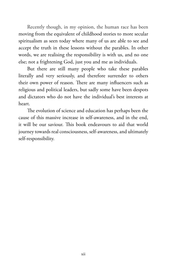Recently though, in my opinion, the human race has been moving from the equivalent of childhood stories to more secular spiritualism as seen today where many of us are able to see and accept the truth in these lessons without the parables. In other words, we are realising the responsibility is with us, and no one else; not a frightening God, just you and me as individuals.

But there are still many people who take these parables literally and very seriously, and therefore surrender to others their own power of reason. There are many influencers such as religious and political leaders, but sadly some have been despots and dictators who do not have the individual's best interests at heart.

The evolution of science and education has perhaps been the cause of this massive increase in self-awareness, and in the end, it will be our saviour. This book endeavours to aid that world journey towards real consciousness, self-awareness, and ultimately self-responsibility.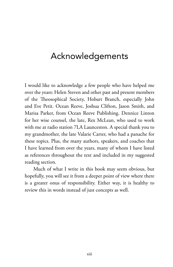## Acknowledgements

I would like to acknowledge a few people who have helped me over the years: Helen Steven and other past and present members of the Theosophical Society, Hobart Branch, especially John and Eve Petit. Ocean Reeve, Joshua Clifton, Jason Smith, and Marisa Parker, from Ocean Reeve Publishing. Dennice Linton for her wise counsel, the late, Rex McLean, who used to work with me at radio station 7LA Launceston. A special thank you to my grandmother, the late Valarie Carter, who had a panache for these topics. Plus, the many authors, speakers, and coaches that I have learned from over the years, many of whom I have listed as references throughout the text and included in my suggested reading section.

Much of what I write in this book may seem obvious, but hopefully, you will see it from a deeper point of view where there is a greater onus of responsibility. Either way, it is healthy to review this in words instead of just concepts as well.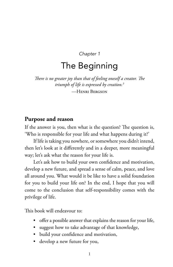*Chapter 1*

# The Beginning

*There is no greater joy than that of feeling oneself a creator. The triumph of life is expressed by creation.3*

—Henri Bergson

#### **Purpose and reason**

If the answer is you, then what is the question? The question is, 'Who is responsible for your life and what happens during it?'

If life is taking you nowhere, or somewhere you didn't intend, then let's look at it differently and in a deeper, more meaningful way; let's ask what the reason for your life is.

Let's ask how to build your own confidence and motivation, develop a new future, and spread a sense of calm, peace, and love all around you. What would it be like to have a solid foundation for you to build your life on? In the end, I hope that you will come to the conclusion that self-responsibility comes with the privilege of life.

This book will endeavour to:

- offer a possible answer that explains the reason for your life,
- suggest how to take advantage of that knowledge,
- build your confidence and motivation,
- develop a new future for you,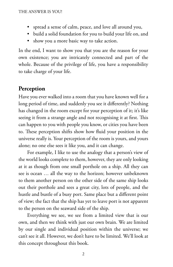- spread a sense of calm, peace, and love all around you,
- build a solid foundation for you to build your life on, and
- show you a more basic way to take action.

In the end, I want to show you that you are the reason for your own existence; you are intricately connected and part of the whole. Because of the privilege of life, you have a responsibility to take charge of your life.

## **Perception**

Have you ever walked into a room that you have known well for a long period of time, and suddenly you see it differently? Nothing has changed in the room except for your perception of it; it's like seeing it from a strange angle and not recognising it at first. This can happen to you with people you know, or cities you have been to. These perception shifts show how fluid your position in the universe really is. Your perception of the room is yours, and yours alone; no one else sees it like you, and it can change.

For example, I like to use the analogy that a person's view of the world looks complete to them, however, they are only looking at it as though from one small porthole on a ship. All they can see is ocean … all the way to the horizon; however unbeknown to them another person on the other side of the same ship looks out their porthole and sees a great city, lots of people, and the hustle and bustle of a busy port. Same place but a different point of view; the fact that the ship has yet to leave port is not apparent to the person on the seaward side of the ship.

Everything we see, we see from a limited view that is our own, and then we think with just our own brain. We are limited by our single and individual position within the universe; we can't see it all. However, we don't have to be limited. We'll look at this concept throughout this book.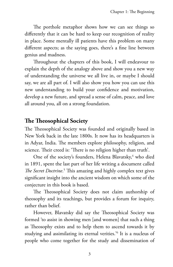The porthole metaphor shows how we can see things so differently that it can be hard to keep our recognition of reality in place. Some mentally ill patients have this problem on many different aspects; as the saying goes, there's a fine line between genius and madness.

Throughout the chapters of this book, I will endeavour to explain the depth of the analogy above and show you a new way of understanding the universe we all live in, or maybe I should say, we are all part of. I will also show you how you can use this new understanding to build your confidence and motivation, develop a new future, and spread a sense of calm, peace, and love all around you, all on a strong foundation.

## **The Theosophical Society**

The Theosophical Society was founded and originally based in New York back in the late 1800s. It now has its headquarters is in Adyar, India. The members explore philosophy, religion, and science. Their creed is: 'There is no religion higher than truth'.

One of the society's founders, Helena Blavatsky,<sup>4</sup> who died in 1891, spent the last part of her life writing a document called The Secret Doctrine.<sup>5</sup> This amazing and highly complex text gives significant insight into the ancient wisdom on which some of the conjecture in this book is based.

The Theosophical Society does not claim authorship of theosophy and its teachings, but provides a forum for inquiry, rather than belief.

However, Blavatsky did say the Theosophical Society was formed 'to assist in showing men [and women] that such a thing as Theosophy exists and to help them to ascend towards it by studying and assimilating its eternal verities.'6 It is a nucleus of people who come together for the study and dissemination of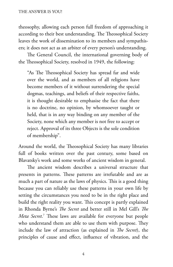theosophy, allowing each person full freedom of approaching it according to their best understanding. The Theosophical Society leaves the work of dissemination to its members and sympathisers; it does not act as an arbiter of every person's understanding.

The General Council, the international governing body of the Theosophical Society, resolved in 1949, the following:

"As The Theosophical Society has spread far and wide over the world, and as members of all religions have become members of it without surrendering the special dogmas, teachings, and beliefs of their respective faiths, it is thought desirable to emphasise the fact that there is no doctrine, no opinion, by whomsoever taught or held, that is in any way binding on any member of the Society, none which any member is not free to accept or reject. Approval of its three Objects is the sole condition of membership".

Around the world, the Theosophical Society has many libraries full of books written over the past century, some based on Blavatsky's work and some works of ancient wisdom in general.

The ancient wisdom describes a universal structure that presents in patterns. These patterns are irrefutable and are as much a part of nature as the laws of physics. This is a good thing because you can reliably use these patterns in your own life by setting the circumstances you need to be in the right place and build the right reality you want. This concept is partly explained in Rhonda Byrne's *The Secret* and better still in Mel Gill's *The Meta Secret*. 7 These laws are available for everyone but people who understand them are able to use them with purpose. They include the law of attraction (as explained in *The Secret*), the principles of cause and effect, influence of vibration, and the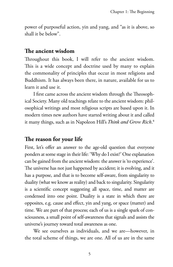power of purposeful action, yin and yang, and "as it is above, so shall it be below".

#### **The ancient wisdom**

Throughout this book, I will refer to the ancient wisdom. This is a wide concept and doctrine used by many to explain the commonality of principles that occur in most religions and Buddhism. It has always been there, in nature, available for us to learn it and use it.

I first came across the ancient wisdom through the Theosophical Society. Many old teachings relate to the ancient wisdom: philosophical writings and most religious scripts are based upon it. In modern times new authors have started writing about it and called it many things, such as in Napoleon Hill's *Think and Grow Rich*. 8

## **The reason for your life**

First, let's offer an answer to the age-old question that everyone ponders at some stage in their life: 'Why do I exist?' One explanation can be gained from the ancient wisdom: the answer is 'to experience'. The universe has not just happened by accident; it is evolving, and it has a purpose, and that is to become self-aware, from singularity to duality (what we know as reality) and back to singularity. Singularity is a scientific concept suggesting all space, time, and matter are condensed into one point. Duality is a state in which there are opposites, e.g. cause and effect, yin and yang, or space (matter) and time. We are part of that process; each of us is a single spark of consciousness, a small point of self-awareness that signals and assists the universe's journey toward total awareness as one.

We see ourselves as individuals, and we are—however, in the total scheme of things, we are one. All of us are in the same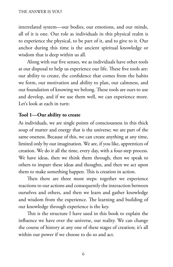interrelated system—our bodies, our emotions, and our minds, all of it is one. Our role as individuals in this physical realm is to experience the physical, to be part of it, and to give to it. Our anchor during this time is the ancient spiritual knowledge or wisdom that is deep within us all.

Along with our five senses, we as individuals have other tools at our disposal to help us experience our life. These five tools are: our ability to create, the confidence that comes from the habits we form, our motivation and ability to plan, our calmness, and our foundation of knowing we belong. These tools are ours to use and develop, and if we use them well, we can experience more. Let's look at each in turn:

#### **Tool 1—Our ability to create**

As individuals, we are single points of consciousness in this thick soup of matter and energy that is the universe; we are part of the same oneness. Because of this, we can create anything at any time, limited only by our imagination. We are, if you like, apprentices of creation. We do it all the time, every day, with a four-step process. We have ideas, then we think them through, then we speak to others to impart these ideas and thoughts, and then we act upon them to make something happen. This is creation in action.

Then there are three more steps: together we experience reactions to our actions and consequently the interaction between ourselves and others, and then we learn and gather knowledge and wisdom from the experience. The learning and building of our knowledge through experience is the key.

This is the structure I have used in this book to explain the influence we have over the universe, our reality. We can change the course of history at any one of these stages of creation; it's all within our power if we choose to do so and act.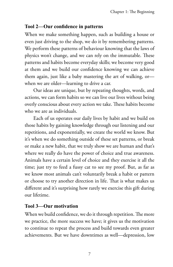#### **Tool 2—Our confidence in patterns**

When we make something happen, such as building a house or even just driving to the shop, we do it by remembering patterns. We perform these patterns of behaviour knowing that the laws of physics won't change, and we can rely on the immutable. These patterns and habits become everyday skills; we become very good at them and we build our confidence knowing we can achieve them again, just like a baby mastering the art of walking, or when we are older—learning to drive a car.

Our ideas are unique, but by repeating thoughts, words, and actions, we can form habits so we can live our lives without being overly conscious about every action we take. These habits become who we are as individuals.

Each of us operates our daily lives by habit and we build on those habits by gaining knowledge through our listening and our repetitions, and exponentially, we create the world we know. But it's when we do something outside of these set patterns, or break or make a new habit, that we truly show we are human and that's where we really do have the power of choice and true awareness. Animals have a certain level of choice and they exercise it all the time; just try to feed a fussy cat to see my proof. But, as far as we know most animals can't voluntarily break a habit or pattern or choose to try another direction in life. That is what makes us different and it's surprising how rarely we exercise this gift during our lifetime.

#### **Tool 3—Our motivation**

When we build confidence, we do it through repetition. The more we practice, the more success we have; it gives us the motivation to continue to repeat the process and build towards even greater achievements. But we have downtimes as well—depression, low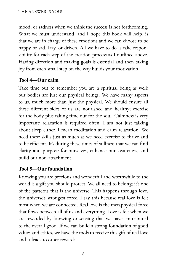mood, or sadness when we think the success is not forthcoming. What we must understand, and I hope this book will help, is that we are in charge of these emotions and we can choose to be happy or sad, lazy, or driven. All we have to do is take responsibility for each step of the creation process as I outlined above. Having direction and making goals is essential and then taking joy from each small step on the way builds your motivation.

#### **Tool 4—Our calm**

Take time out to remember you are a spiritual being as well; our bodies are just our physical beings. We have many aspects to us, much more than just the physical. We should ensure all these different sides of us are nourished and healthy; exercise for the body plus taking time out for the soul. Calmness is very important; relaxation is required often. I am not just talking about sleep either. I mean meditation and calm relaxation. We need these skills just as much as we need exercise to thrive and to be efficient. It's during these times of stillness that we can find clarity and purpose for ourselves, enhance our awareness, and build our non-attachment.

#### **Tool 5—Our foundation**

Knowing you are precious and wonderful and worthwhile to the world is a gift you should protect. We all need to belong; it's one of the patterns that is the universe. This happens through love, the universe's strongest force. I say this because real love is felt most when we are connected. Real love is the metaphysical force that flows between all of us and everything. Love is felt when we are rewarded by knowing or sensing that we have contributed to the overall good. If we can build a strong foundation of good values and ethics, we have the tools to receive this gift of real love and it leads to other rewards.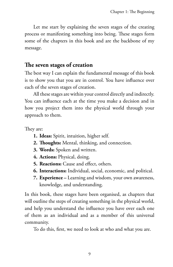Let me start by explaining the seven stages of the creating process or manifesting something into being. These stages form some of the chapters in this book and are the backbone of my message.

## **The seven stages of creation**

The best way I can explain the fundamental message of this book is to show you that you are in control. You have influence over each of the seven stages of creation.

All these stages are within your control directly and indirectly. You can influence each at the time you make a decision and in how you project them into the physical world through your approach to them.

They are:

- **1. Ideas:** Spirit, intuition, higher self.
- **2. Thoughts:** Mental, thinking, and connection.
- **3. Words:** Spoken and written.
- **4. Actions:** Physical, doing.
- **5. Reactions:** Cause and effect, others.
- **6. Interactions:** Individual, social, economic, and political.
- **7. Experience** Learning and wisdom, your own awareness, knowledge, and understanding.

In this book, these stages have been organised, as chapters that will outline the steps of creating something in the physical world, and help you understand the influence you have over each one of them as an individual and as a member of this universal community.

To do this, first, we need to look at who and what you are.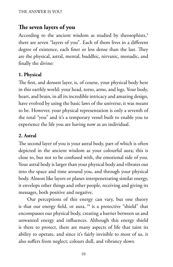## **The seven layers of you**

According to the ancient wisdom as studied by theosophists,<sup>9</sup> there are seven "layers of you". Each of them lives in a different degree of existence, each finer or less dense than the last. They are the physical, astral, mental, buddhic, nirvanic, monadic, and finally the divine:

#### **1. Physical**

The first, and densest layer, is, of course, your physical body here in this earthly world: your head, torso, arms, and legs. Your body, heart, and brain, in all its incredible intricacy and amazing design, have evolved by using the basic laws of the universe; it was meant to be. However, your physical representation is only a seventh of the total "you" and it's a temporary vessel built to enable you to experience the life you are having now as an individual.

#### **2. Astral**

The second layer of you is your astral body, part of which is often depicted in the ancient wisdom as your colourful aura; this is close to, but not to be confused with, the emotional side of you. Your astral body is larger than your physical body and vibrates out into the space and time around you, and through your physical body. Almost like layers or planes interpenetrating similar energy, it envelops other things and other people, receiving and giving its messages, both positive and negative.

Our perceptions of this energy can vary, but one theory is that our energy field, or aura, <sup>10</sup> is a protective "shield" that encompasses our physical body, creating a barrier between us and unwanted energy and influences. Although this energy shield is there to protect, there are many aspects of life that taint its ability to operate, and since it's fairly invisible to most of us, it also suffers from neglect; colours dull, and vibrancy slows.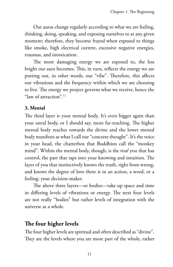Our auras change regularly according to what we are feeling, thinking, doing, speaking, and exposing ourselves to at any given moment; therefore, they become frayed when exposed to things like smoke, high electrical current, excessive negative energies, traumas, and intoxication.

The more damaging energy we are exposed to, the less bright our aura becomes. This, in turn, reflects the energy we are putting out, in other words, our "vibe". Therefore, this affects our vibrations and the frequency within which we are choosing to live. The energy we project governs what we receive, hence the "law of attraction".11

#### **3. Mental**

The third layer is your mental body. It's even bigger again than your astral body, or I should say, more far-reaching. The higher mental body reaches towards the divine and the lower mental body manifests as what I call our "concrete thought". It's the voice in your head, the chatterbox that Buddhists call the "monkey mind". Within the mental body, though, is the *real* you that has control, the part that taps into your knowing and intuition. The layer of you that instinctively knows the truth, right from wrong, and knows the degree of love there is in an action, a word, or a feeling; your decision-maker.

The above three layers—or bodies—take up space and time in differing levels of vibrations or energy. The next four levels are not really "bodies" but rather levels of integration with the universe as a whole.

## **The four higher levels**

The four higher levels are spiritual and often described as "divine". They are the levels where you are more part of the whole, rather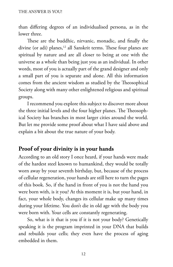than differing degrees of an individualised persona, as in the lower three.

These are the buddhic, nirvanic, monadic, and finally the divine (or adi) planes,<sup>12</sup> all Sanskrit terms. These four planes are spiritual by nature and are all closer to being at one with the universe as a whole than being just you as an individual. In other words, most of you is actually part of the grand designer and only a small part of you is separate and alone. All this information comes from the ancient wisdom as studied by the Theosophical Society along with many other enlightened religious and spiritual groups.

I recommend you explore this subject to discover more about the three initial levels and the four higher planes. The Theosophical Society has branches in most larger cities around the world. But let me provide some proof about what I have said above and explain a bit about the true nature of your body.

#### **Proof of your divinity is in your hands**

According to an old story I once heard, if your hands were made of the hardest steel known to humankind, they would be totally worn away by your seventh birthday, but, because of the process of cellular regeneration, your hands are still here to turn the pages of this book. So, if the hand in front of you is not the hand you were born with, is it you? At this moment it is, but your hand, in fact, your whole body, changes its cellular make up many times during your lifetime. You don't die in old age with the body you were born with. Your cells are constantly regenerating.

So, what is it that is you if it is not your body? Genetically speaking it is the program imprinted in your DNA that builds and rebuilds your cells; they even have the process of aging embedded in them.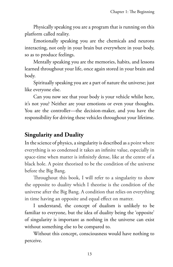Physically speaking you are a program that is running on this platform called reality.

Emotionally speaking you are the chemicals and neurons interacting, not only in your brain but everywhere in your body, so as to produce feelings.

Mentally speaking you are the memories, habits, and lessons learned throughout your life, once again stored in your brain and body.

Spiritually speaking you are a part of nature the universe; just like everyone else.

Can you now see that your body is your vehicle whilst here, it's not you? Neither are your emotions or even your thoughts. You are the controller—the decision-maker, and you have the responsibility for driving these vehicles throughout your lifetime.

## **Singularity and Duality**

In the science of physics, a singularity is described as a point where everything is so condensed it takes an infinite value, especially in space-time when matter is infinitely dense, like at the centre of a black hole. A point theorised to be the condition of the universe before the Big Bang.

Throughout this book, I will refer to a singularity to show the opposite to duality which I theorise is the condition of the universe after the Big Bang. A condition that relies on everything in time having an opposite and equal effect on matter.

I understand, the concept of dualism is unlikely to be familiar to everyone, but the idea of duality being the 'opposite' of singularity is important as nothing in the universe can exist without something else to be compared to.

Without this concept, consciousness would have nothing to perceive.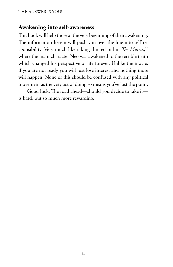#### **Awakening into self-awareness**

This book will help those at the very beginning of their awakening. The information herein will push you over the line into self-responsibility. Very much like taking the red pill in *The Matrix*, 13 where the main character Neo was awakened to the terrible truth which changed his perspective of life forever. Unlike the movie, if you are not ready you will just lose interest and nothing more will happen. None of this should be confused with any political movement as the very act of doing so means you've lost the point.

Good luck. The road ahead—should you decide to take it is hard, but so much more rewarding.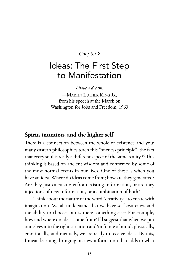#### *Chapter 2*

# Ideas: The First Step to Manifestation

*I have a dream.*

—Martin Luther King Jr, from his speech at the March on Washington for Jobs and Freedom, 1963

#### **Spirit, intuition, and the higher self**

There is a connection between the whole of existence and you; many eastern philosophies teach this "oneness principle", the fact that every soul is really a different aspect of the same reality.<sup>14</sup> This thinking is based on ancient wisdom and confirmed by some of the most normal events in our lives. One of these is when you have an idea. Where do ideas come from; how are they generated? Are they just calculations from existing information, or are they injections of new information, or a combination of both?

Think about the nature of the word "creativity": to create with imagination. We all understand that we have self-awareness and the ability to choose, but is there something else? For example, how and where do ideas come from? I'd suggest that when we put ourselves into the right situation and/or frame of mind, physically, emotionally, and mentally, we are ready to receive ideas. By this, I mean learning; bringing on new information that adds to what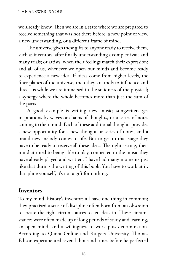we already know. Then we are in a state where we are prepared to receive something that was not there before: a new point of view, a new understanding, or a different frame of mind.

The universe gives these gifts to anyone ready to receive them, such as inventors, after finally understanding a complex issue and many trials; or artists, when their feelings match their expression; and all of us, whenever we open our minds and become ready to experience a new idea. If ideas come from higher levels, the finer planes of the universe, then they are tools to influence and direct us while we are immersed in the solidness of the physical; a synergy where the whole becomes more than just the sum of the parts.

A good example is writing new music; songwriters get inspirations by waves or chains of thoughts, or a series of notes coming to their mind. Each of these additional thoughts provides a new opportunity for a new thought or series of notes, and a brand-new melody comes to life. But to get to that stage they have to be ready to receive all these ideas. The right setting, their mind attuned to being able to play, connected to the music they have already played and written. I have had many moments just like that during the writing of this book. You have to work at it, discipline yourself, it's not a gift for nothing.

#### **Inventors**

To my mind, history's inventors all have one thing in common; they practised a sense of discipline often born from an obsession to create the right circumstances to let ideas in. These circumstances were often made up of long periods of study and learning, an open mind, and a willingness to work plus determination. According to Quora Online and Rutgers University, Thomas Edison experimented several thousand times before he perfected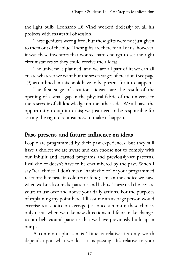the light bulb. Leonardo Di Vinci worked tirelessly on all his projects with masterful obsession.

These geniuses were gifted, but these gifts were not just given to them out of the blue. These gifts are there for all of us; however, it was these inventors that worked hard enough to set the right circumstances so they could receive their ideas.

The universe is planned, and we are all part of it; we can all create whatever we want but the seven stages of creation (See page 19) as outlined in this book have to be present for it to happen.

The first stage of creation—ideas—are the result of the opening of a small gap in the physical fabric of the universe to the reservoir of all knowledge on the other side. We all have the opportunity to tap into this; we just need to be responsible for setting the right circumstances to make it happen.

#### **Past, present, and future: influence on ideas**

People are programmed by their past experiences, but they still have a choice; we are aware and can choose not to comply with our inbuilt and learned programs and previously-set patterns. Real choice doesn't have to be encumbered by the past. When I say "real choice" I don't mean "habit choice" or your programmed reactions like taste in colours or food; I mean the choice we have when we break or make patterns and habits. These real choices are yours to use over and above your daily actions. For the purposes of explaining my point here, I'll assume an average person would exercise real choice on average just once a month; these choices only occur when we take new directions in life or make changes to our behavioural patterns that we have previously built up in our past.

A common aphorism is 'Time is relative; its only worth depends upon what we do as it is passing.' It's relative to your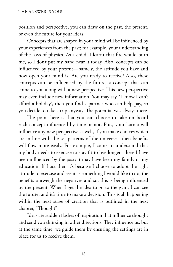position and perspective, you can draw on the past, the present, or even the future for your ideas.

Concepts that are shaped in your mind will be influenced by your experiences from the past; for example, your understanding of the laws of physics. As a child, I learnt that fire would burn me, so I don't put my hand near it today. Also, concepts can be influenced by your present—namely, the attitude you have and how open your mind is. Are you ready to receive? Also, these concepts can be influenced by the future, a concept that can come to you along with a new perspective. This new perspective may even include new information. You may say, 'I know I can't afford a holiday', then you find a partner who can help pay, so you decide to take a trip anyway. The potential was always there.

The point here is that you can choose to take on board each concept influenced by time or not. Plus, your karma will influence any new perspective as well, if you make choices which are in line with the set patterns of the universe—then benefits will flow more easily. For example, I come to understand that my body needs to exercise to stay fit to live longer—here I have been influenced by the past; it may have been my family or my education. If I act then it's because I choose to adopt the right attitude to exercise and see it as something I would like to do; the benefits outweigh the negatives and so, this is being influenced by the present. When I get the idea to go to the gym, I can see the future, and it's time to make a decision. This is all happening within the next stage of creation that is outlined in the next chapter, "Thought".

Ideas are sudden flashes of inspiration that influence thought and send you thinking in other directions. They influence us, but at the same time, we guide them by ensuring the settings are in place for us to receive them.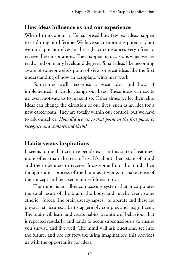## **How ideas influence us and our experience**

When I think about it, I'm surprised how few real ideas happen to us during our lifetime. We have such enormous potential, but we don't put ourselves in the right circumstances very often to receive these inspirations. They happen on occasions when we are ready, and on many levels and degrees. Small ideas like becoming aware of someone else's point of view, or great ideas like the first understanding of how an aeroplane wing may work.

Sometimes we'll recognise a great idea and how, if implemented, it would change our lives. These ideas can excite us, even motivate us to make it so. Other times we let them slip. Ideas can change the direction of our lives, such as an idea for a new career path. They are totally within our control, but we have to ask ourselves, *How did we get to that point in the first place, to recognise and comprehend them?* 

## **Habits versus inspirations**

It seems to me that creative people exist in this state of readiness more often than the rest of us. It's about their state of mind and their openness to receive. Ideas come from the mind, then thoughts are a process of the brain as it works to make sense of the concept and tie a sense of usefulness to it.

The mind is an all-encompassing system that incorporates the total result of the brain, the body, and maybe even, some etheric<sup>15</sup> forces. The brain uses synapses<sup>16</sup> to operate and these are physical structures, albeit staggeringly complex and magnificent. The brain will learn and create habits, a routine of behaviour that is repeated regularly, and tends to occur subconsciously to ensure you survive and live well. The mind will ask questions, see into the future, and project forward using imagination; this provides us with the opportunity for ideas.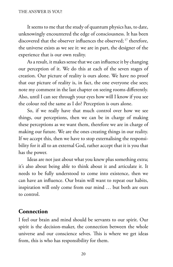It seems to me that the study of quantum physics has, to date, unknowingly encountered the edge of consciousness. It has been discovered that the observer influences the observed; 17 therefore, the universe exists as we see it: we are in part, the designer of the experience that is our own reality.

As a result, it makes sense that we can influence it by changing our perception of it. We do this at each of the seven stages of creation. Our picture of reality is ours alone. We have no proof that our picture of reality is, in fact, the one everyone else sees; note my comment in the last chapter on seeing rooms differently. Also, until I can see through your eyes how will I know if you see the colour red the same as I do? Perception is ours alone.

So, if we really have that much control over how we see things, our perceptions, then we can be in charge of making these perceptions as we want them, therefore we are in charge of making our future. We are the ones creating things in our reality. If we accept this, then we have to stop externalising the responsibility for it all to an external God, rather accept that it is you that has the power.

Ideas are not just about what you knew plus something extra; it's also about being able to think about it and articulate it. It needs to be fully understood to come into existence, then we can have an influence. Our brain will want to repeat our habits, inspiration will only come from our mind … but both are ours to control.

## **Connection**

I feel our brain and mind should be servants to our spirit. Our spirit is the decision-maker, the connection between the whole universe and our conscience selves. This is where we get ideas from, this is who has responsibility for them.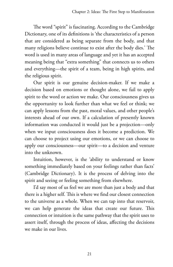The word "spirit" is fascinating. According to the Cambridge Dictionary, one of its definitions is 'the characteristics of a person that are considered as being separate from the body, and that many religions believe continue to exist after the body dies.' The word is used in many areas of language and yet it has an accepted meaning being that "extra something" that connects us to others and everything—the spirit of a team, being in high spirits, and the religious spirit.

Our spirit is our genuine decision-maker. If we make a decision based on emotions or thought alone, we fail to apply spirit to the word or action we make. Our consciousness gives us the opportunity to look further than what we feel or think; we can apply lessons from the past, moral values, and other people's interests ahead of our own. If a calculation of presently known information was conducted it would just be a projection—only when we input consciousness does it become a prediction. We can choose to project using our emotions, or we can choose to apply our consciousness—our spirit—to a decision and venture into the unknown.

Intuition, however, is the 'ability to understand or know something immediately based on your feelings rather than facts' (Cambridge Dictionary). It is the process of delving into the spirit and seeing or feeling something from elsewhere.

I'd say most of us feel we are more than just a body and that there is a higher self. This is where we find our closest connection to the universe as a whole. When we can tap into that reservoir, we can help generate the ideas that create our future. This connection or intuition is the same pathway that the spirit uses to assert itself, through the process of ideas, affecting the decisions we make in our lives.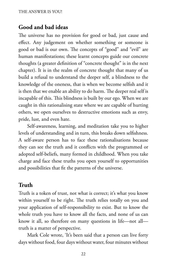## **Good and bad ideas**

The universe has no provision for good or bad, just cause and effect. Any judgement on whether something or someone is good or bad is our own. The concepts of "good" and "evil" are human manifestations; these learnt concepts guide our concrete thoughts (a greater definition of "concrete thought" is in the next chapter). It is in the realm of concrete thought that many of us build a refusal to understand the deeper self, a blindness to the knowledge of the oneness, that is when we become selfish and it is then that we enable an ability to do harm. The deeper real self is incapable of this. This blindness is built by our ego. When we are caught in this rationalising state where we are capable of hurting others, we open ourselves to destructive emotions such as envy, pride, lust, and even hate.

Self-awareness, learning, and meditation take you to higher levels of understanding and in turn, this breaks down selfishness. A self-aware person has to face these rationalisations because they can see the truth and it conflicts with the programmed or adopted self-beliefs, many formed in childhood. When you take charge and face these truths you open yourself to opportunities and possibilities that fit the patterns of the universe.

## **Truth**

Truth is a token of trust, not what is correct; it's what you know within yourself to be right. The truth relies totally on you and your application of self-responsibility to exist. But to know the whole truth you have to know all the facts, and none of us can know it all, so therefore on many questions in life—not all truth is a matter of perspective.

Mark Cole wrote, 'It's been said that a person can live forty days without food, four days without water, four minutes without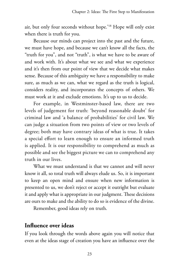air, but only four seconds without hope.'18 Hope will only exist when there is truth for you.

Because our minds can project into the past and the future, we must have hope, and because we can't know all the facts, the "truth for you", and not "truth", is what we have to be aware of and work with. It's about what we see and what we experience and it's then from our point of view that we decide what makes sense. Because of this ambiguity we have a responsibility to make sure, as much as we can, what we regard as the truth is logical, considers reality, and incorporates the concepts of others. We must work at it and exclude emotions. It's up to us to decide.

For example, in Westminster-based law, there are two levels of judgement for truth: 'beyond reasonable doubt' for criminal law and 'a balance of probabilities' for civil law. We can judge a situation from two points of view or two levels of degree; both may have contrary ideas of what is true. It takes a special effort to learn enough to ensure an informed truth is applied. It is our responsibility to comprehend as much as possible and see the biggest picture we can to comprehend any truth in our lives.

What we must understand is that we cannot and will never know it all, so total truth will always elude us. So, it is important to keep an open mind and ensure when new information is presented to us, we don't reject or accept it outright but evaluate it and apply what is appropriate in our judgment. These decisions are ours to make and the ability to do so is evidence of the divine.

Remember, good ideas rely on truth.

#### **Influence over ideas**

If you look through the words above again you will notice that even at the ideas stage of creation you have an influence over the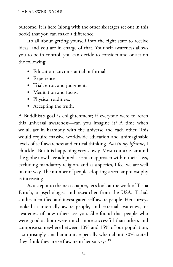outcome. It is here (along with the other six stages set out in this book) that you can make a difference.

It's all about getting yourself into the right state to receive ideas, and you are in charge of that. Your self-awareness allows you to be in control, you can decide to consider and or act on the following:

- Education–circumstantial or formal.
- Experience.
- Trial, error, and judgment.
- Meditation and focus.
- Physical readiness.
- Accepting the truth.

A Buddhist's goal is enlightenment; if everyone were to reach this universal awareness—can you imagine it? A time when we all act in harmony with the universe and each other. This would require massive worldwide education and unimaginable levels of self-awareness and critical thinking. *Not in my lifetime*, I chuckle. But it is happening very slowly. Most countries around the globe now have adopted a secular approach within their laws, excluding mandatory religion, and as a species, I feel we are well on our way. The number of people adopting a secular philosophy is increasing.

As a step into the next chapter, let's look at the work of Tasha Eurich, a psychologist and researcher from the USA. Tasha's studies identified and investigated self-aware people. Her surveys looked at internally aware people, and external awareness, or awareness of how others see you. She found that people who were good at both were much more successful than others and comprise somewhere between 10% and 15% of our population, a surprisingly small amount, especially when about 70% stated they think they are self-aware in her surveys.19